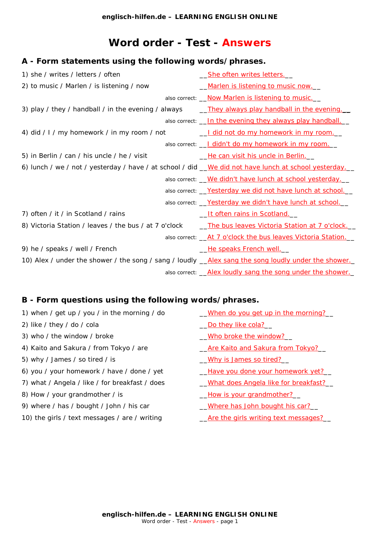# **Word order - Test - Answers**

# *A - Form statements using the following words/phrases.*

| 1) she / writes / letters / often                                                                     | <u>She often writes letters.</u>                                   |
|-------------------------------------------------------------------------------------------------------|--------------------------------------------------------------------|
| 2) to music / Marlen / is listening / now                                                             | Marlen is listening to music now.                                  |
|                                                                                                       | also correct: <i>Now Marlen is listening to music.</i>             |
| 3) play / they / handball / in the evening / always                                                   | <u>They always play handball in the evening.</u>                   |
|                                                                                                       | also correct: <u>In the evening they always play handball.</u>     |
| 4) did / I / my homework / in my room / not                                                           | <u>I did not do my homework in my room.</u>                        |
|                                                                                                       | also correct: <u>J didn't do my homework in my room.</u>           |
| 5) in Berlin / can / his uncle / he / visit                                                           | <u>__He can visit his uncle in Berlin.</u>                         |
| 6) lunch / we / not / yesterday / have / at school / did _ We did not have lunch at school yesterday. |                                                                    |
|                                                                                                       | also correct: <u>We didn't have lunch at school yesterday</u> .    |
|                                                                                                       | also correct: <u>Yesterday we did not have lunch at school.</u>    |
|                                                                                                       | also correct: <u>Yesterday we didn't have lunch at school.</u>     |
| 7) often / it / in Scotland / rains                                                                   | <u>It often rains in Scotland.</u>                                 |
| 8) Victoria Station / leaves / the bus / at 7 o'clock                                                 | The bus leaves Victoria Station at 7 o'clock.                      |
|                                                                                                       | also correct: <u>At 7 o'clock the bus leaves Victoria Station.</u> |
| 9) he / speaks / well / French                                                                        | He speaks French well.                                             |
| 10) Alex / under the shower / the song / sang / loudly __ Alex sang the song loudly under the shower. |                                                                    |
|                                                                                                       | also correct: <u>Alex loudly sang the song under the shower.</u>   |

# *B - Form questions using the following words/phrases.*

| 1) when / get up / you / in the morning / do   | When do you get up in the morning?          |
|------------------------------------------------|---------------------------------------------|
| 2) like / they / do / cola                     | Do they like cola?                          |
| 3) who / the window / broke                    | Who broke the window?                       |
| 4) Kaito and Sakura / from Tokyo / are         | <u>Are Kaito and Sakura from Tokyo?</u>     |
| 5) why / James / so tired / is                 | <u>Why is James so tired?</u>               |
| 6) you / your homework / have / done / yet     | <u>_Have you done your homework yet?__</u>  |
| 7) what / Angela / like / for breakfast / does | <u>What does Angela like for breakfast?</u> |
| 8) How / your grandmother / is                 | How is your grandmother?                    |
| 9) where / has / bought / John / his car       | <u>Where has John bought his car?</u>       |
|                                                |                                             |

10) the girls / text messages / are / writing \_\_*Are the girls writing text messages?*\_\_

**[englisch-hilfen.de](https://www.englisch-hilfen.de/en/) – LEARNING ENGLISH ONLINE** Word order - [Test](https://www.englisch-hilfen.de/en/complex_tests.htm) - Answers - page 1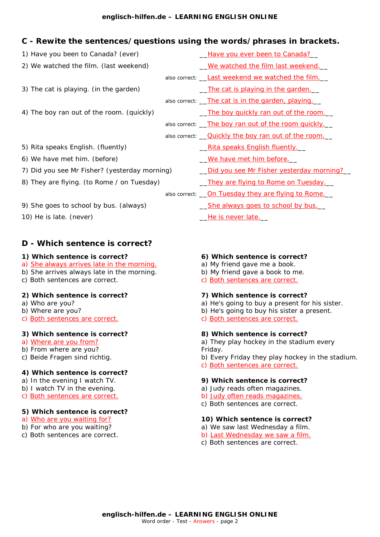### **[englisch-hilfen.de](https://www.englisch-hilfen.de/en/) – LEARNING ENGLISH ONLINE**

# *C - Rewite the sentences/questions using the words/phrases in brackets.*

| 1) Have you been to Canada? (ever)            |  | Have you ever been to Canada?                             |
|-----------------------------------------------|--|-----------------------------------------------------------|
| 2) We watched the film. <i>(last weekend)</i> |  | <u>We watched the film last weekend.</u>                  |
|                                               |  | also correct: <i>Last weekend we watched the film</i> .   |
| 3) The cat is playing. (in the garden)        |  | <u>The cat is playing in the garden.</u>                  |
|                                               |  | also correct: <u>The cat is in the garden, playing.</u>   |
| 4) The boy ran out of the room. (quickly)     |  | The boy quickly ran out of the room.                      |
|                                               |  | also correct: <u>The boy ran out of the room quickly.</u> |
|                                               |  | also correct: <u>Quickly the boy ran out of the room.</u> |
| 5) Rita speaks English. (fluently)            |  | <u> Rita speaks English fluently.    </u>                 |
| 6) We have met him. (before)                  |  | <u>We have met him before.</u>                            |
| 7) Did you see Mr Fisher? (yesterday morning) |  | Did you see Mr Fisher yesterday morning?                  |
| 8) They are flying. (to Rome / on Tuesday)    |  | <u>They are flying to Rome on Tuesday.</u>                |
|                                               |  | also correct: <u>Qn Tuesday they are flying to Rome.</u>  |
| 9) She goes to school by bus. (always)        |  | <u>She always goes to school by bus.</u>                  |
| 10) He is late. (never)                       |  | <u>He is never late.__</u>                                |

# *D - Which sentence is correct?*

### **1) Which sentence is correct?**

- a) *She always arrives late in the morning.*
- b) She arrives always late in the morning.
- c) Both sentences are correct.

### **2) Which sentence is correct?**

- a) Who are you?
- b) Where are you?
- c) *Both sentences are correct.*

#### **3) Which sentence is correct?**

- a) *Where are you from?*
- b) From where are you?
- c) Beide Fragen sind richtig.

# **4) Which sentence is correct?**

- a) In the evening I watch TV.
- b) I watch TV in the evening.
- c) *Both sentences are correct.*

#### **5) Which sentence is correct?**

- a) *Who are you waiting for?*
- b) For who are you waiting?
- c) Both sentences are correct.

#### **6) Which sentence is correct?**

- a) My friend gave me a book.
- b) My friend gave a book to me.
- c) *Both sentences are correct.*

#### **7) Which sentence is correct?**

- a) He's going to buy a present for his sister.
- b) He's going to buy his sister a present.
- c) *Both sentences are correct.*

### **8) Which sentence is correct?**

a) They play hockey in the stadium every Friday.

- b) Every Friday they play hockey in the stadium.
- c) *Both sentences are correct.*

#### **9) Which sentence is correct?**

- a) Judy reads often magazines.
- b) *Judy often reads magazines.*
- c) Both sentences are correct.

#### **10) Which sentence is correct?**

- a) We saw last Wednesday a film.
- b) *Last Wednesday we saw a film.*
- c) Both sentences are correct.